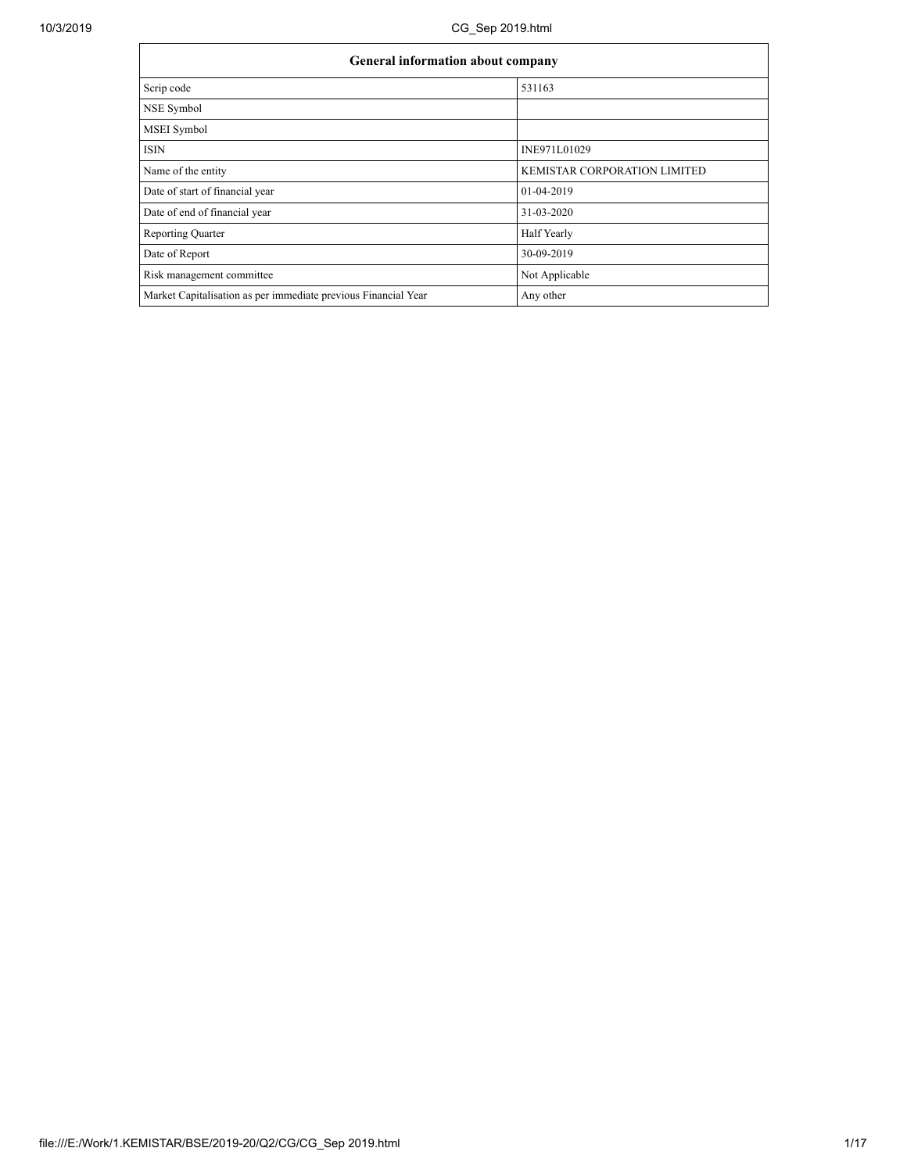| <b>General information about company</b>                       |                              |  |  |  |  |
|----------------------------------------------------------------|------------------------------|--|--|--|--|
| Scrip code                                                     | 531163                       |  |  |  |  |
| NSE Symbol                                                     |                              |  |  |  |  |
| <b>MSEI</b> Symbol                                             |                              |  |  |  |  |
| <b>ISIN</b>                                                    | INE971L01029                 |  |  |  |  |
| Name of the entity                                             | KEMISTAR CORPORATION LIMITED |  |  |  |  |
| Date of start of financial year                                | 01-04-2019                   |  |  |  |  |
| Date of end of financial year                                  | 31-03-2020                   |  |  |  |  |
| <b>Reporting Quarter</b>                                       | Half Yearly                  |  |  |  |  |
| Date of Report                                                 | 30-09-2019                   |  |  |  |  |
| Risk management committee                                      | Not Applicable               |  |  |  |  |
| Market Capitalisation as per immediate previous Financial Year | Any other                    |  |  |  |  |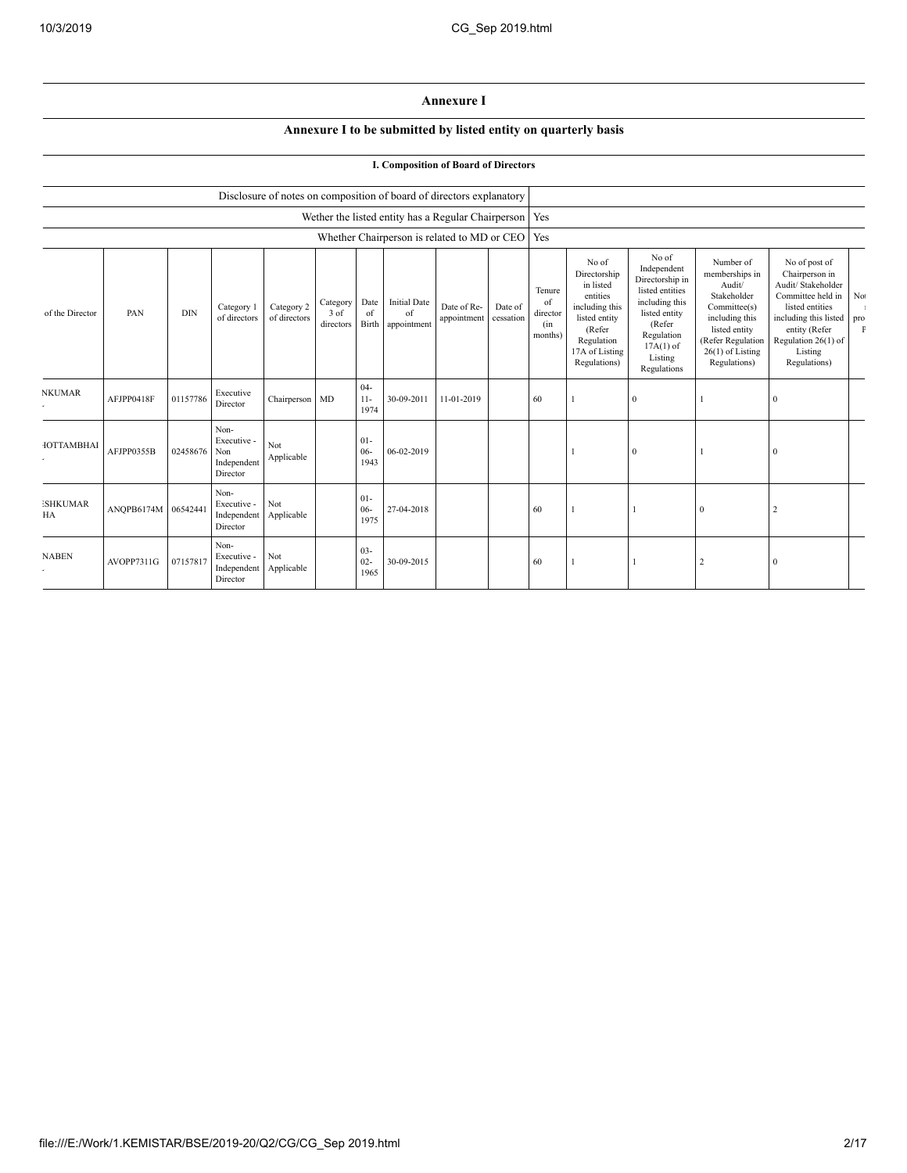## **Annexure I**

## **Annexure I to be submitted by listed entity on quarterly basis**

|                       |                     |            |                                                       |                            |                               |                          |                                          | <b>I. Composition of Board of Directors</b>                          |                      |                                            |                                                                                                                                             |                                                                                                                                                                |                                                                                                                                                                    |                                                                                                                                                                                               |                    |
|-----------------------|---------------------|------------|-------------------------------------------------------|----------------------------|-------------------------------|--------------------------|------------------------------------------|----------------------------------------------------------------------|----------------------|--------------------------------------------|---------------------------------------------------------------------------------------------------------------------------------------------|----------------------------------------------------------------------------------------------------------------------------------------------------------------|--------------------------------------------------------------------------------------------------------------------------------------------------------------------|-----------------------------------------------------------------------------------------------------------------------------------------------------------------------------------------------|--------------------|
|                       |                     |            |                                                       |                            |                               |                          |                                          | Disclosure of notes on composition of board of directors explanatory |                      |                                            |                                                                                                                                             |                                                                                                                                                                |                                                                                                                                                                    |                                                                                                                                                                                               |                    |
|                       |                     |            |                                                       |                            |                               |                          |                                          | Wether the listed entity has a Regular Chairperson   Yes             |                      |                                            |                                                                                                                                             |                                                                                                                                                                |                                                                                                                                                                    |                                                                                                                                                                                               |                    |
|                       |                     |            |                                                       |                            |                               |                          |                                          | Whether Chairperson is related to MD or CEO                          |                      | Yes                                        |                                                                                                                                             |                                                                                                                                                                |                                                                                                                                                                    |                                                                                                                                                                                               |                    |
| of the Director       | PAN                 | <b>DIN</b> | Category 1<br>of directors                            | Category 2<br>of directors | Category<br>3 of<br>directors | Date<br>of<br>Birth      | <b>Initial Date</b><br>of<br>appointment | Date of Re-<br>appointment                                           | Date of<br>cessation | Tenure<br>of<br>director<br>(in<br>months) | No of<br>Directorship<br>in listed<br>entities<br>including this<br>listed entity<br>(Refer<br>Regulation<br>17A of Listing<br>Regulations) | No of<br>Independent<br>Directorship in<br>listed entities<br>including this<br>listed entity<br>(Refer<br>Regulation<br>$17A(1)$ of<br>Listing<br>Regulations | Number of<br>memberships in<br>Audit/<br>Stakeholder<br>Committee(s)<br>including this<br>listed entity<br>(Refer Regulation<br>$26(1)$ of Listing<br>Regulations) | No of post of<br>Chairperson in<br>Audit/ Stakeholder<br>Committee held in<br>listed entities<br>including this listed pro<br>entity (Refer<br>Regulation 26(1) of<br>Listing<br>Regulations) | No<br>$\mathbf{F}$ |
| <b>NKUMAR</b>         | AFJPP0418F          | 01157786   | Executive<br>Director                                 | Chairperson MD             |                               | $04 -$<br>$11-$<br>1974  | 30-09-2011                               | 11-01-2019                                                           |                      | 60                                         |                                                                                                                                             | $\mathbf{0}$                                                                                                                                                   |                                                                                                                                                                    | $\Omega$                                                                                                                                                                                      |                    |
| <b>IOTTAMBHAI</b>     | AFJPP0355B          | 02458676   | Non-<br>Executive -<br>Non<br>Independent<br>Director | Not<br>Applicable          |                               | $01 -$<br>$06 -$<br>1943 | 06-02-2019                               |                                                                      |                      |                                            |                                                                                                                                             | $\mathbf{0}$                                                                                                                                                   |                                                                                                                                                                    | 0                                                                                                                                                                                             |                    |
| <b>ISHKUMAR</b><br>HA | ANOPB6174M 06542441 |            | Non-<br>Executive -<br>Independent<br>Director        | Not<br>Applicable          |                               | $01 -$<br>$06 -$<br>1975 | 27-04-2018                               |                                                                      |                      | 60                                         |                                                                                                                                             |                                                                                                                                                                | $\mathbf{0}$                                                                                                                                                       |                                                                                                                                                                                               |                    |
| <b>NABEN</b>          | AVOPP7311G          | 07157817   | Non-<br>Executive -<br>Independent<br>Director        | Not<br>Applicable          |                               | $03 -$<br>$02 -$<br>1965 | 30-09-2015                               |                                                                      |                      | 60                                         |                                                                                                                                             |                                                                                                                                                                | 2                                                                                                                                                                  | 0                                                                                                                                                                                             |                    |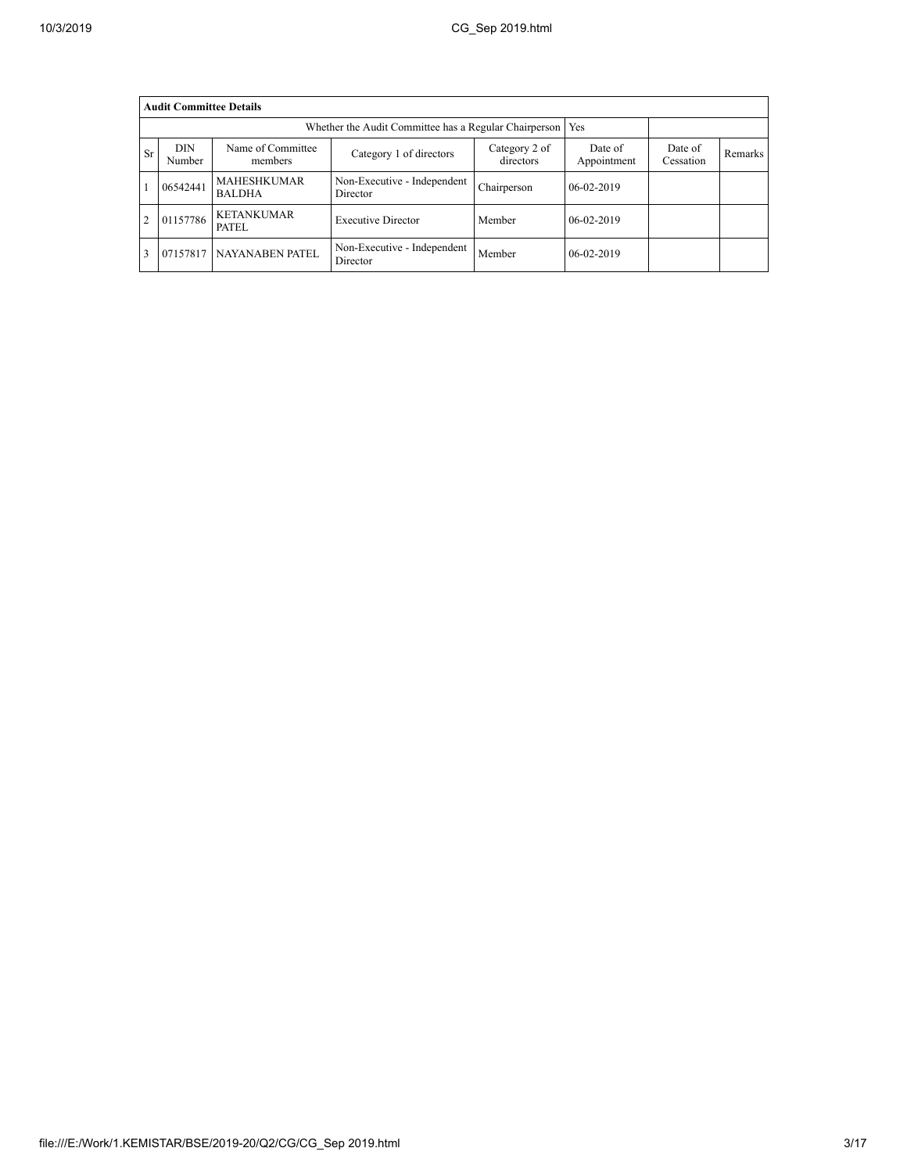|                | <b>Audit Committee Details</b> |                                                              |                                         |                            |                        |                      |         |  |  |  |
|----------------|--------------------------------|--------------------------------------------------------------|-----------------------------------------|----------------------------|------------------------|----------------------|---------|--|--|--|
|                |                                | Whether the Audit Committee has a Regular Chairperson<br>Yes |                                         |                            |                        |                      |         |  |  |  |
| <b>Sr</b>      | DIN<br>Number                  | Name of Committee<br>members                                 | Category 1 of directors                 | Category 2 of<br>directors | Date of<br>Appointment | Date of<br>Cessation | Remarks |  |  |  |
|                | 06542441                       | <b>MAHESHKUMAR</b><br><b>BALDHA</b>                          | Non-Executive - Independent<br>Director | Chairperson                | 06-02-2019             |                      |         |  |  |  |
| $\overline{c}$ | 01157786                       | <b>KETANKUMAR</b><br>PATEL                                   | <b>Executive Director</b>               | Member                     | 06-02-2019             |                      |         |  |  |  |
| 3              | 07157817                       | NAYANABEN PATEL                                              | Non-Executive - Independent<br>Director | Member                     | 06-02-2019             |                      |         |  |  |  |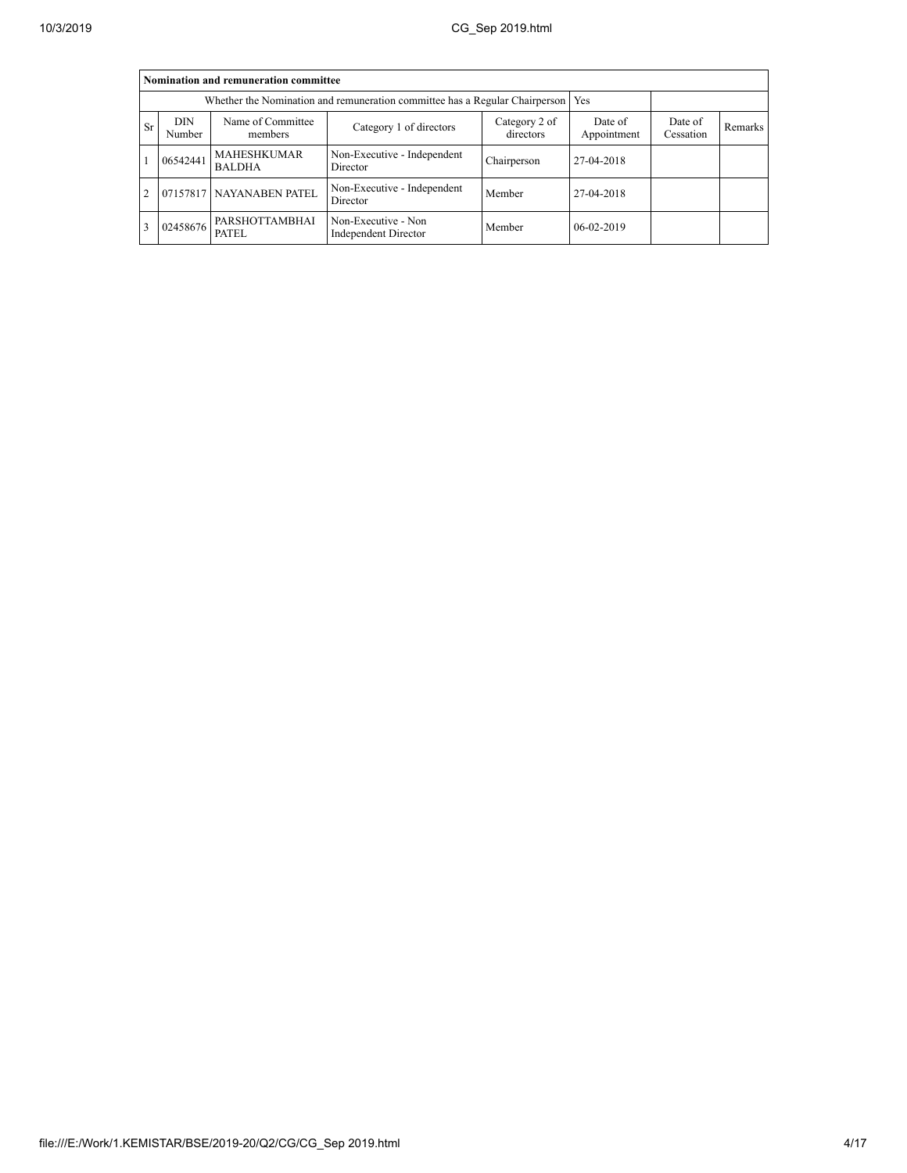$\overline{a}$ 

|           | Nomination and remuneration committee                                                                         |                                                                             |                                             |                      |                |  |  |  |  |  |  |
|-----------|---------------------------------------------------------------------------------------------------------------|-----------------------------------------------------------------------------|---------------------------------------------|----------------------|----------------|--|--|--|--|--|--|
|           |                                                                                                               | Whether the Nomination and remuneration committee has a Regular Chairperson |                                             | Yes                  |                |  |  |  |  |  |  |
| <b>Sr</b> | Name of Committee<br><b>DIN</b><br>Category 2 of<br>Category 1 of directors<br>directors<br>Number<br>members |                                                                             | Date of<br>Appointment                      | Date of<br>Cessation | <b>Remarks</b> |  |  |  |  |  |  |
|           | 06542441                                                                                                      | MAHESHKUMAR<br><b>BALDHA</b>                                                | Non-Executive - Independent<br>Director     | Chairperson          | 27-04-2018     |  |  |  |  |  |  |
|           |                                                                                                               | 07157817 NAYANABEN PATEL                                                    | Non-Executive - Independent<br>Director     | Member               | 27-04-2018     |  |  |  |  |  |  |
|           | 02458676                                                                                                      | PARSHOTTAMBHAI<br>PATEL                                                     | Non-Executive - Non<br>Independent Director | Member               | 06-02-2019     |  |  |  |  |  |  |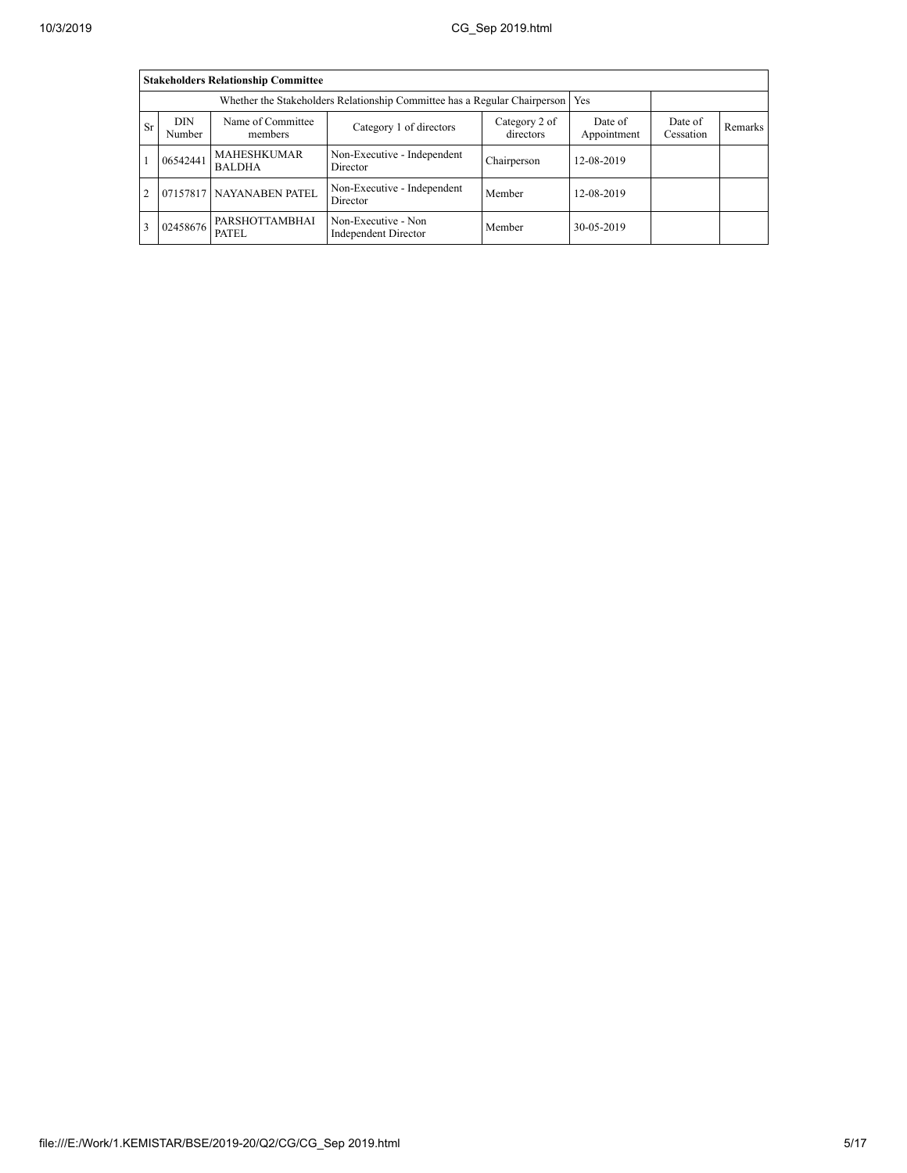|                |                                                                                                               | <b>Stakeholders Relationship Committee</b> |                                             |                      |            |  |  |
|----------------|---------------------------------------------------------------------------------------------------------------|--------------------------------------------|---------------------------------------------|----------------------|------------|--|--|
|                |                                                                                                               |                                            |                                             |                      |            |  |  |
| <b>Sr</b>      | Name of Committee<br><b>DIN</b><br>Category 2 of<br>Category 1 of directors<br>directors<br>Number<br>members |                                            | Date of<br>Appointment                      | Date of<br>Cessation | Remarks    |  |  |
|                | 06542441                                                                                                      | <b>MAHESHKUMAR</b><br><b>BALDHA</b>        | Non-Executive - Independent<br>Director     | Chairperson          | 12-08-2019 |  |  |
| $\overline{c}$ |                                                                                                               | 07157817 NAYANABEN PATEL                   | Non-Executive - Independent<br>Director     | Member               | 12-08-2019 |  |  |
|                | 02458676                                                                                                      | PARSHOTTAMBHAI<br>PATEL.                   | Non-Executive - Non<br>Independent Director | Member               | 30-05-2019 |  |  |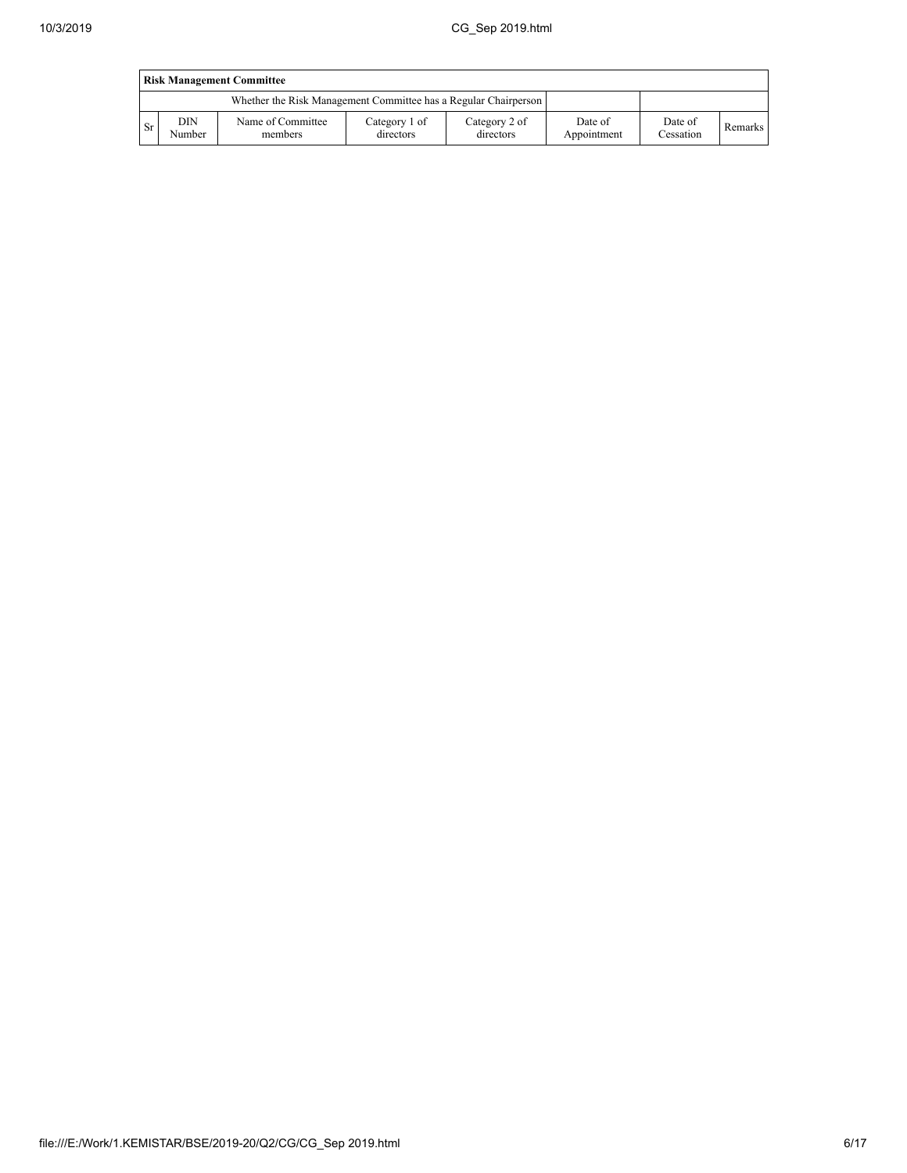|     | <b>Risk Management Committee</b> |                                                                 |                            |                            |                        |                      |                |  |  |  |  |
|-----|----------------------------------|-----------------------------------------------------------------|----------------------------|----------------------------|------------------------|----------------------|----------------|--|--|--|--|
|     |                                  | Whether the Risk Management Committee has a Regular Chairperson |                            |                            |                        |                      |                |  |  |  |  |
| -Sr | DIN<br>Number                    | Name of Committee<br>members                                    | Category 1 of<br>directors | Category 2 of<br>directors | Date of<br>Appointment | Date of<br>Cessation | <b>Remarks</b> |  |  |  |  |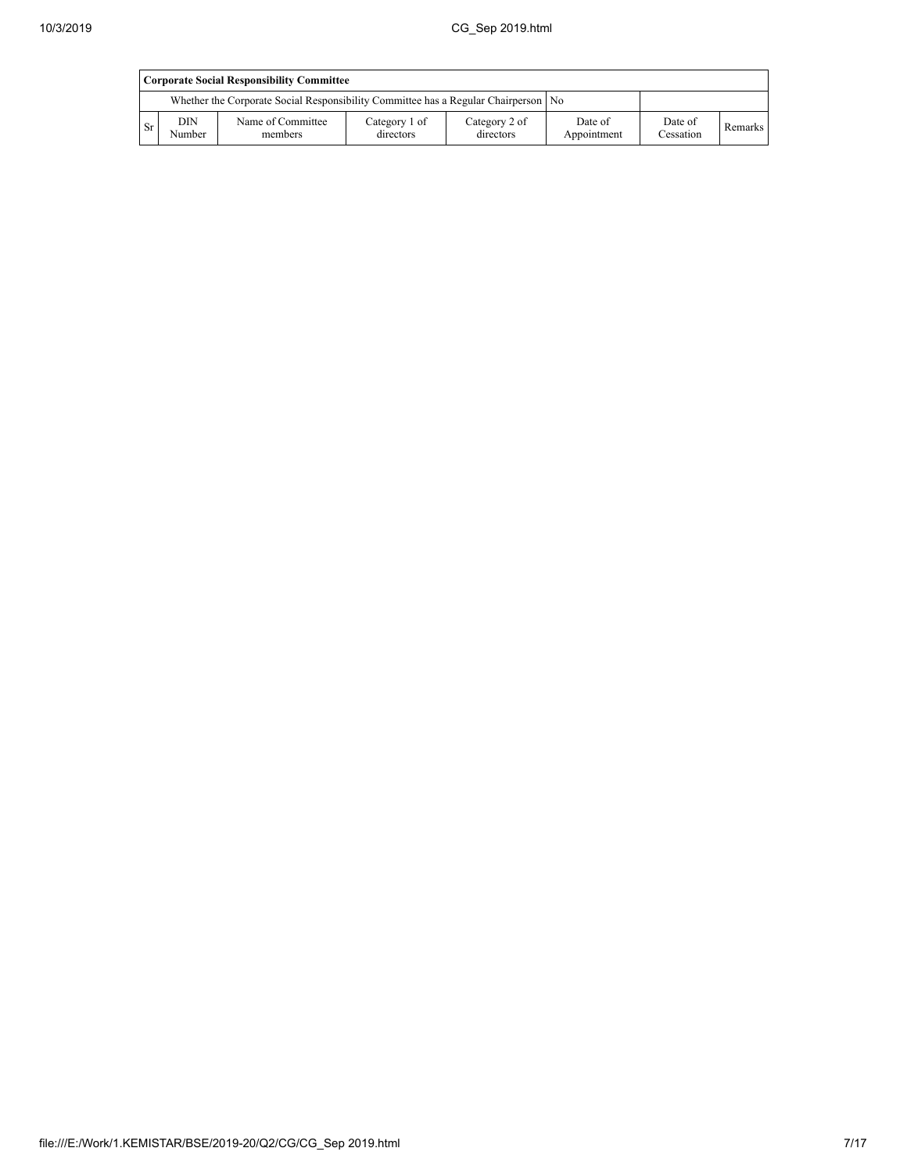|      | <b>Corporate Social Responsibility Committee</b> |                                                                                      |                            |                            |                        |                      |                |  |  |  |
|------|--------------------------------------------------|--------------------------------------------------------------------------------------|----------------------------|----------------------------|------------------------|----------------------|----------------|--|--|--|
|      |                                                  | Whether the Corporate Social Responsibility Committee has a Regular Chairperson   No |                            |                            |                        |                      |                |  |  |  |
| - Sr | DIN<br>Number                                    | Name of Committee<br>members                                                         | Category 1 of<br>directors | Category 2 of<br>directors | Date of<br>Appointment | Date of<br>Cessation | <b>Remarks</b> |  |  |  |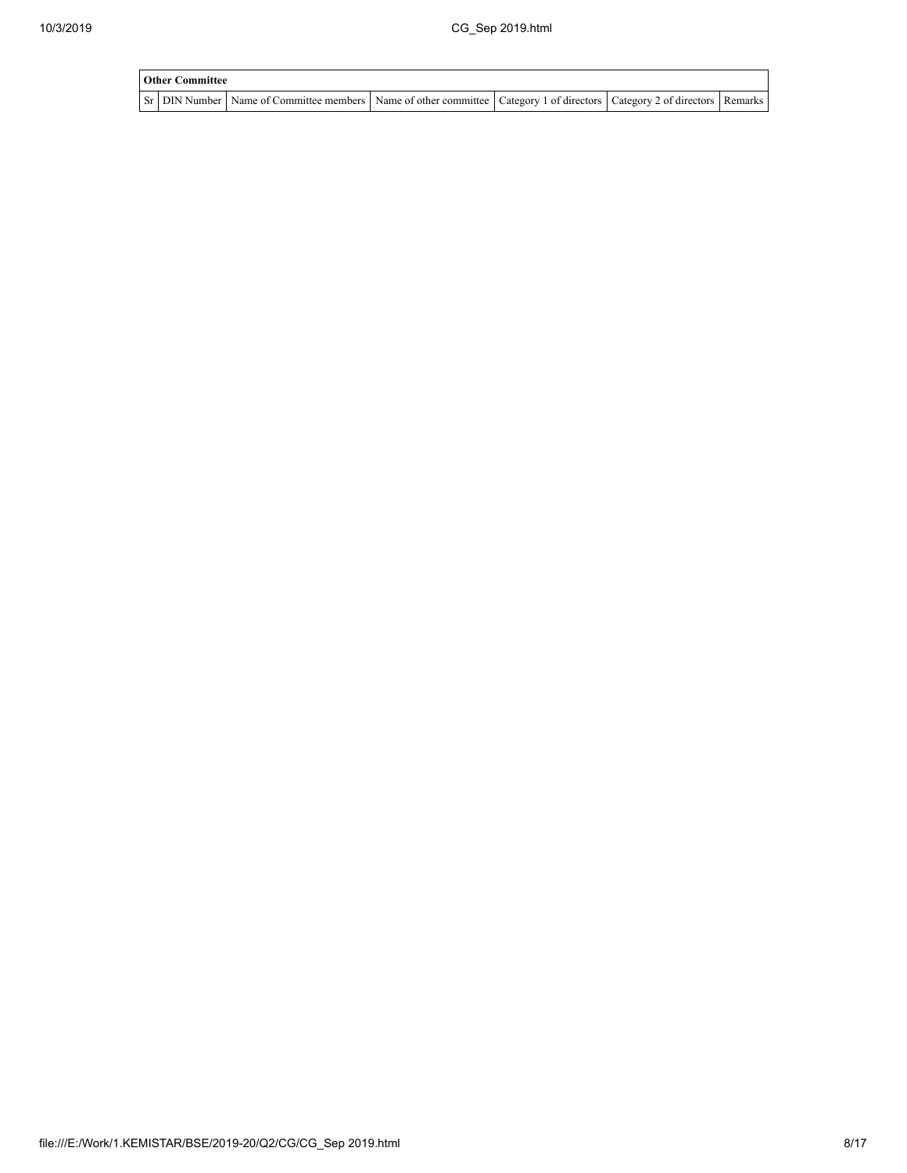| <b>Other Committee</b> |                                                                                                                                     |  |  |
|------------------------|-------------------------------------------------------------------------------------------------------------------------------------|--|--|
|                        | Sr   DIN Number   Name of Committee members   Name of other committee   Category 1 of directors   Category 2 of directors   Remarks |  |  |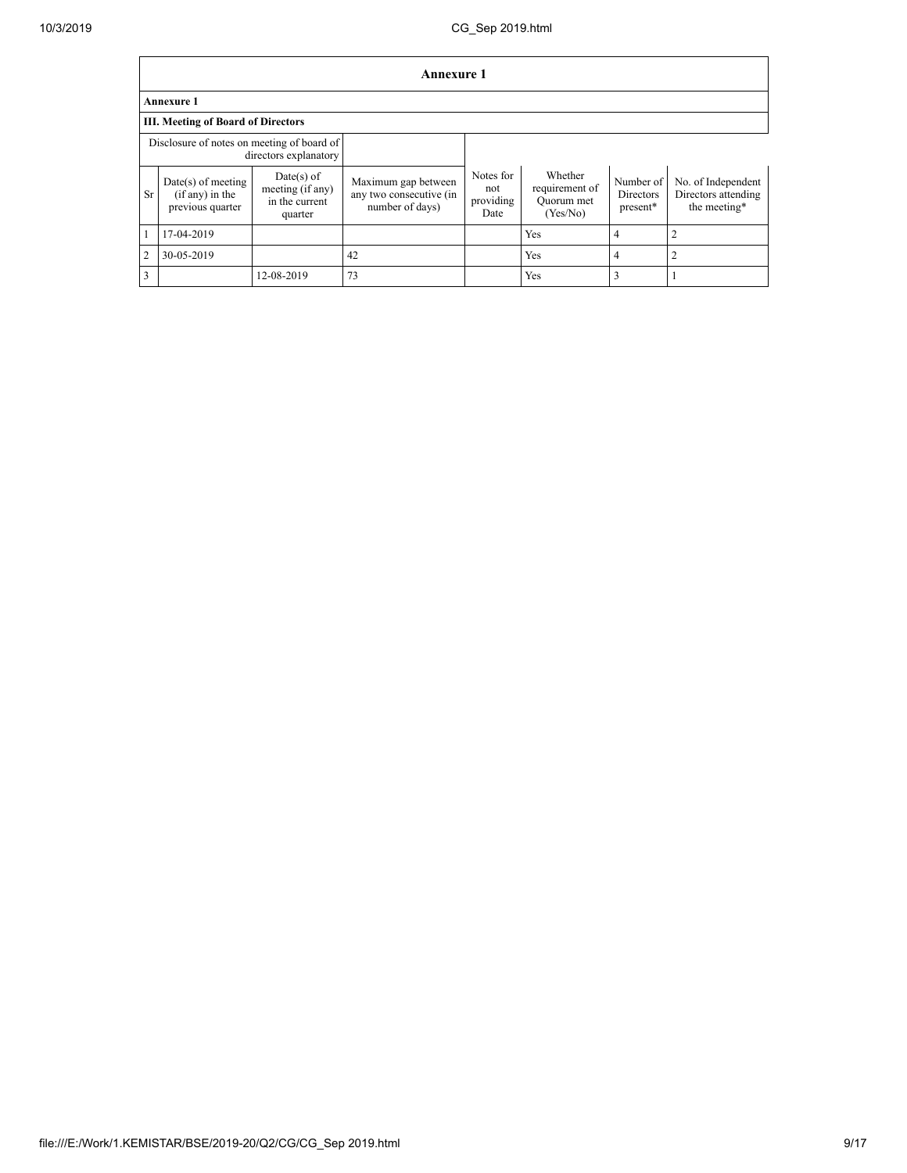$\mathbf{r}$ 

|                | <b>Annexure 1</b>                                           |                                                             |                                                                   |                                       |                                                     |                                    |                                                           |  |  |  |
|----------------|-------------------------------------------------------------|-------------------------------------------------------------|-------------------------------------------------------------------|---------------------------------------|-----------------------------------------------------|------------------------------------|-----------------------------------------------------------|--|--|--|
|                | Annexure 1                                                  |                                                             |                                                                   |                                       |                                                     |                                    |                                                           |  |  |  |
|                | <b>III. Meeting of Board of Directors</b>                   |                                                             |                                                                   |                                       |                                                     |                                    |                                                           |  |  |  |
|                | Disclosure of notes on meeting of board of                  | directors explanatory                                       |                                                                   |                                       |                                                     |                                    |                                                           |  |  |  |
| <b>Sr</b>      | $Date(s)$ of meeting<br>(if any) in the<br>previous quarter | Date(s) of<br>meeting (if any)<br>in the current<br>quarter | Maximum gap between<br>any two consecutive (in<br>number of days) | Notes for<br>not<br>providing<br>Date | Whether<br>requirement of<br>Ouorum met<br>(Yes/No) | Number of<br>Directors<br>present* | No. of Independent<br>Directors attending<br>the meeting* |  |  |  |
|                | 17-04-2019                                                  |                                                             |                                                                   |                                       | Yes                                                 | 4                                  |                                                           |  |  |  |
| $\overline{2}$ | 30-05-2019                                                  |                                                             | 42                                                                |                                       | Yes                                                 | 4                                  | $\overline{2}$                                            |  |  |  |
| 3              |                                                             | 12-08-2019                                                  | 73                                                                |                                       | <b>Yes</b>                                          | 3                                  |                                                           |  |  |  |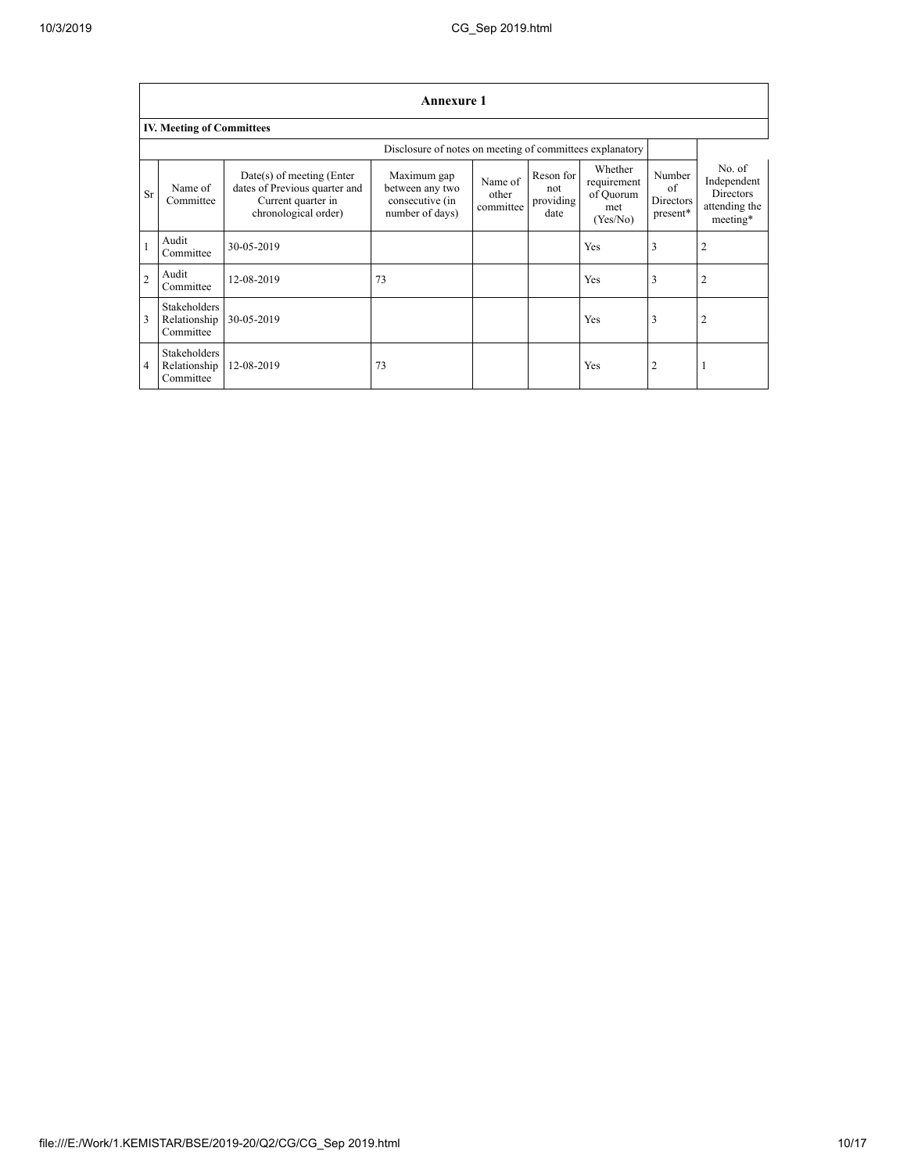|                | <b>Annexure 1</b>                                        |                                                                                                            |                                                                      |                               |                                       |                                                        |                                              |                                                                        |  |
|----------------|----------------------------------------------------------|------------------------------------------------------------------------------------------------------------|----------------------------------------------------------------------|-------------------------------|---------------------------------------|--------------------------------------------------------|----------------------------------------------|------------------------------------------------------------------------|--|
|                | <b>IV. Meeting of Committees</b>                         |                                                                                                            |                                                                      |                               |                                       |                                                        |                                              |                                                                        |  |
|                | Disclosure of notes on meeting of committees explanatory |                                                                                                            |                                                                      |                               |                                       |                                                        |                                              |                                                                        |  |
| Sr             | Name of<br>Committee                                     | $Date(s)$ of meeting (Enter<br>dates of Previous quarter and<br>Current quarter in<br>chronological order) | Maximum gap<br>between any two<br>consecutive (in<br>number of days) | Name of<br>other<br>committee | Reson for<br>not<br>providing<br>date | Whether<br>requirement<br>of Quorum<br>met<br>(Yes/No) | Number<br>of<br><b>Directors</b><br>present* | No. of<br>Independent<br><b>Directors</b><br>attending the<br>meeting* |  |
|                | Audit<br>Committee                                       | 30-05-2019                                                                                                 |                                                                      |                               |                                       | Yes                                                    | 3                                            | 2                                                                      |  |
| $\overline{c}$ | Audit<br>Committee                                       | 12-08-2019                                                                                                 | 73                                                                   |                               |                                       | Yes                                                    | 3                                            |                                                                        |  |
| 3              | <b>Stakeholders</b><br>Relationship<br>Committee         | 30-05-2019                                                                                                 |                                                                      |                               |                                       | Yes                                                    | 3                                            | 2                                                                      |  |
| $\overline{4}$ | Stakeholders<br>Relationship<br>Committee                | 12-08-2019                                                                                                 | 73                                                                   |                               |                                       | Yes                                                    | $\overline{2}$                               |                                                                        |  |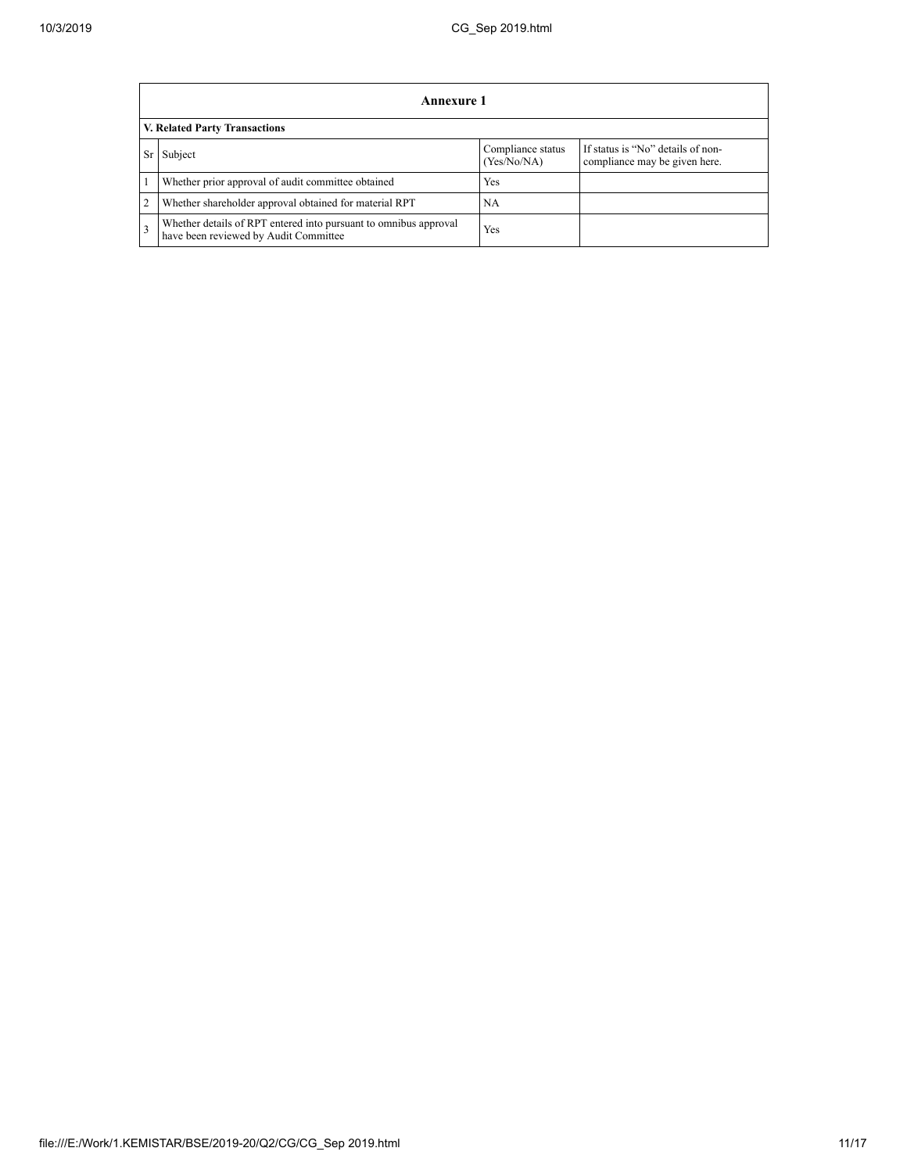|                | Annexure 1                                                                                                |                                  |                                                                    |  |  |  |  |  |
|----------------|-----------------------------------------------------------------------------------------------------------|----------------------------------|--------------------------------------------------------------------|--|--|--|--|--|
|                | V. Related Party Transactions                                                                             |                                  |                                                                    |  |  |  |  |  |
|                | Subject                                                                                                   | Compliance status<br>(Yes/No/NA) | If status is "No" details of non-<br>compliance may be given here. |  |  |  |  |  |
|                | Whether prior approval of audit committee obtained                                                        | Yes                              |                                                                    |  |  |  |  |  |
| $\overline{2}$ | Whether shareholder approval obtained for material RPT                                                    | NA                               |                                                                    |  |  |  |  |  |
| 3              | Whether details of RPT entered into pursuant to omnibus approval<br>have been reviewed by Audit Committee | Yes                              |                                                                    |  |  |  |  |  |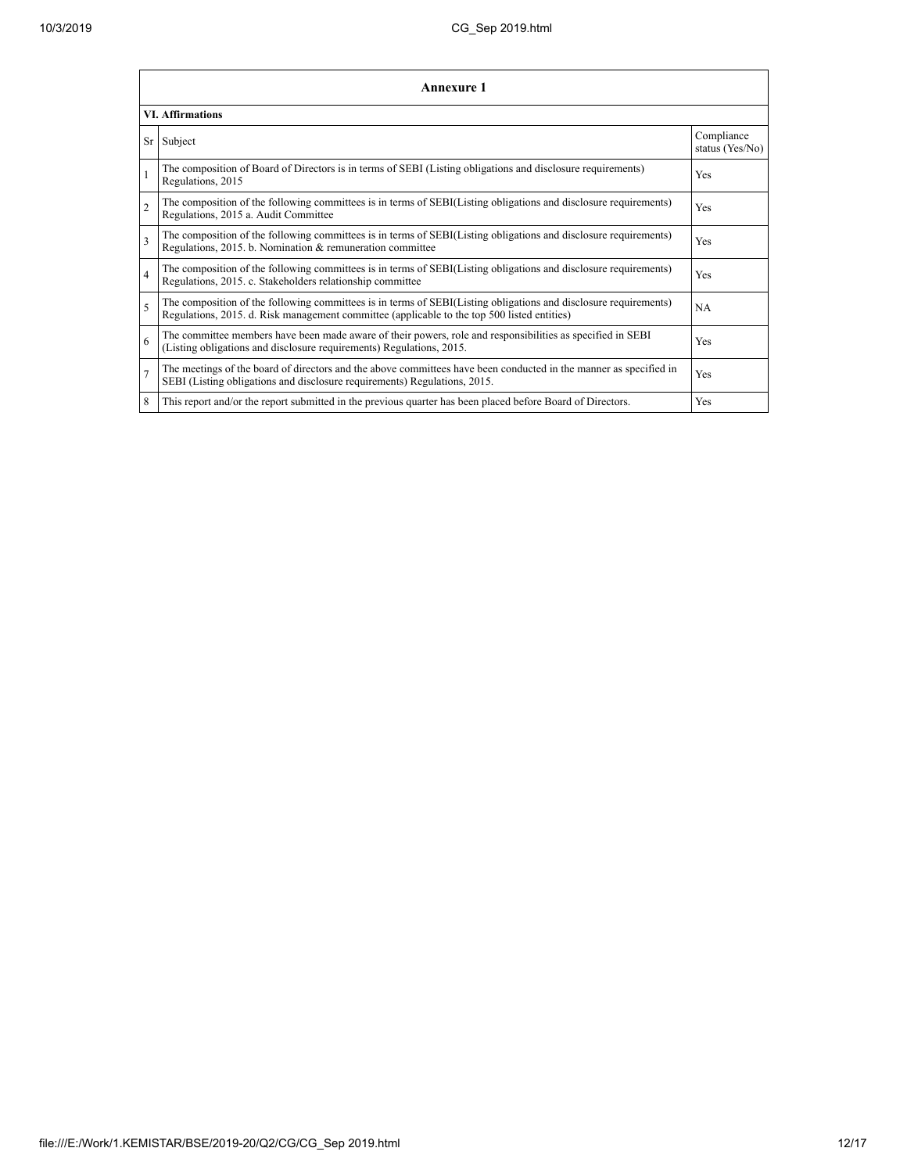|                          | <b>Annexure 1</b>                                                                                                                                                                                               |                               |  |  |  |  |  |  |  |
|--------------------------|-----------------------------------------------------------------------------------------------------------------------------------------------------------------------------------------------------------------|-------------------------------|--|--|--|--|--|--|--|
|                          | <b>VI. Affirmations</b>                                                                                                                                                                                         |                               |  |  |  |  |  |  |  |
| Sr                       | Subject                                                                                                                                                                                                         | Compliance<br>status (Yes/No) |  |  |  |  |  |  |  |
|                          | The composition of Board of Directors is in terms of SEBI (Listing obligations and disclosure requirements)<br>Regulations, 2015                                                                                | Yes                           |  |  |  |  |  |  |  |
| $\mathfrak{D}$           | The composition of the following committees is in terms of SEBI(Listing obligations and disclosure requirements)<br>Regulations, 2015 a. Audit Committee                                                        | Yes                           |  |  |  |  |  |  |  |
| 3                        | The composition of the following committees is in terms of SEBI(Listing obligations and disclosure requirements)<br>Regulations, 2015. b. Nomination & remuneration committee                                   | Yes                           |  |  |  |  |  |  |  |
| $\overline{4}$           | The composition of the following committees is in terms of SEBI(Listing obligations and disclosure requirements)<br>Regulations, 2015. c. Stakeholders relationship committee                                   | Yes                           |  |  |  |  |  |  |  |
| $\overline{\phantom{0}}$ | The composition of the following committees is in terms of SEBI(Listing obligations and disclosure requirements)<br>Regulations, 2015. d. Risk management committee (applicable to the top 500 listed entities) | NA                            |  |  |  |  |  |  |  |
| 6                        | The committee members have been made aware of their powers, role and responsibilities as specified in SEBI<br>(Listing obligations and disclosure requirements) Regulations, 2015.                              | Yes                           |  |  |  |  |  |  |  |
| 7                        | The meetings of the board of directors and the above committees have been conducted in the manner as specified in<br>SEBI (Listing obligations and disclosure requirements) Regulations, 2015.                  | Yes                           |  |  |  |  |  |  |  |
| 8                        | This report and/or the report submitted in the previous quarter has been placed before Board of Directors.                                                                                                      | Yes                           |  |  |  |  |  |  |  |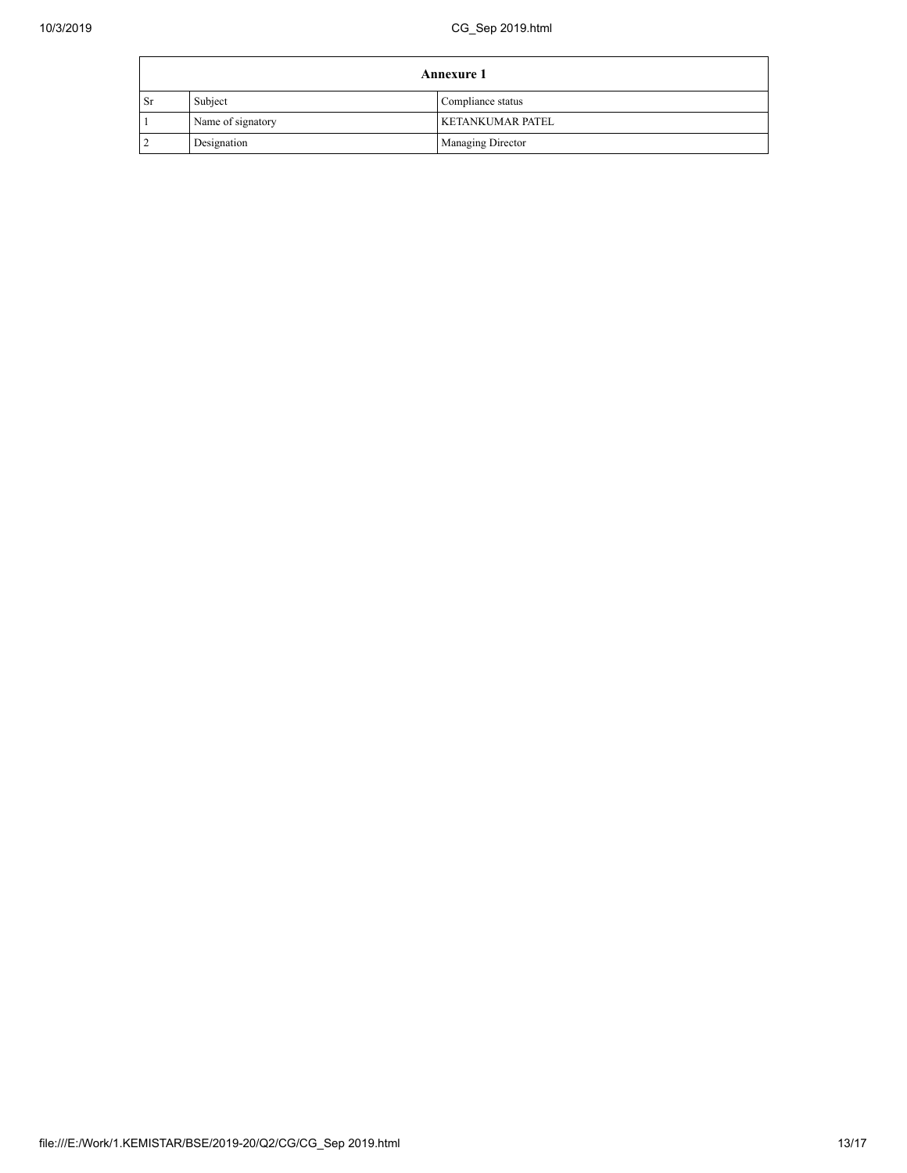| <b>Annexure 1</b> |                   |                         |  |  |
|-------------------|-------------------|-------------------------|--|--|
| <b>Sr</b>         | Subject           | Compliance status       |  |  |
|                   | Name of signatory | <b>KETANKUMAR PATEL</b> |  |  |
|                   | Designation       | Managing Director       |  |  |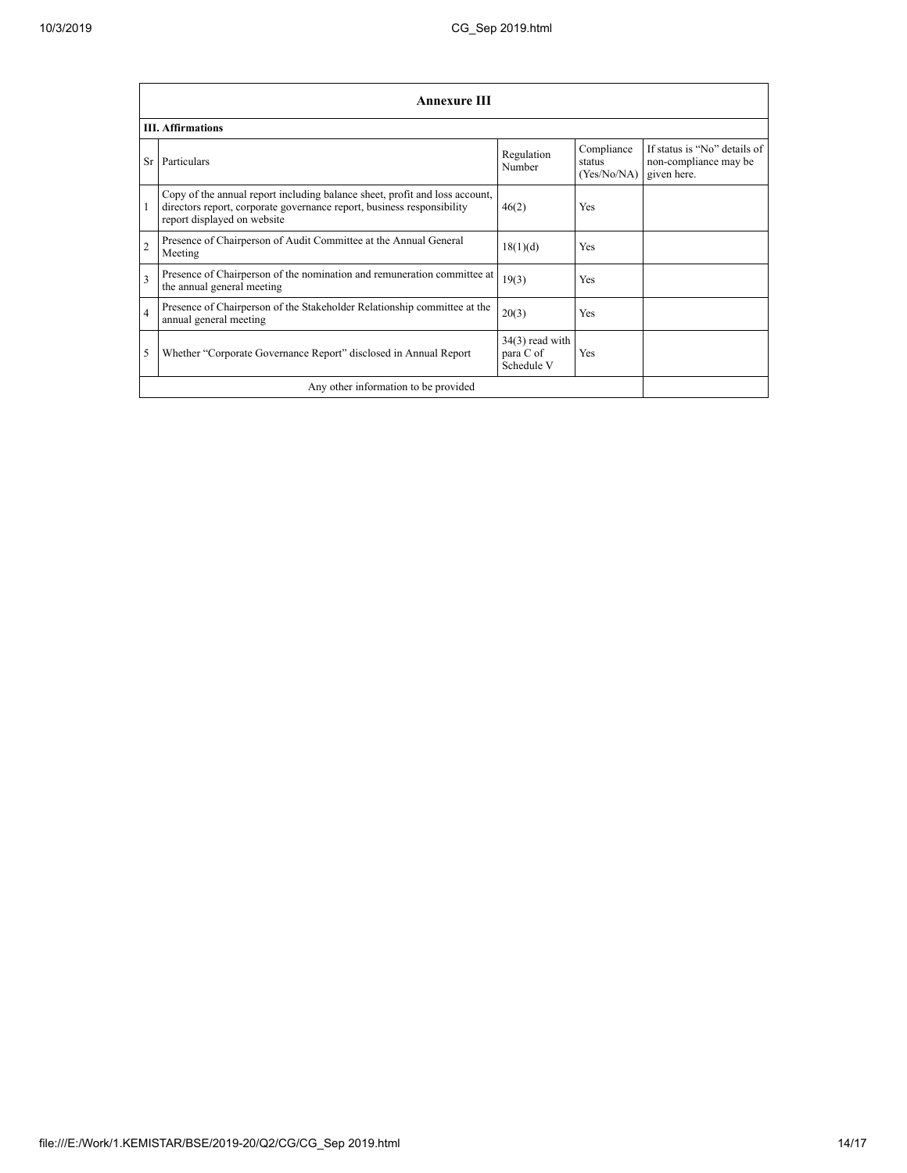|                          | <b>Annexure III</b>                                                                                                                                                                  |                                              |                                     |                                                                      |  |  |  |
|--------------------------|--------------------------------------------------------------------------------------------------------------------------------------------------------------------------------------|----------------------------------------------|-------------------------------------|----------------------------------------------------------------------|--|--|--|
| <b>III.</b> Affirmations |                                                                                                                                                                                      |                                              |                                     |                                                                      |  |  |  |
| Sr                       | Particulars                                                                                                                                                                          | Regulation<br>Number                         | Compliance<br>status<br>(Yes/No/NA) | If status is "No" details of<br>non-compliance may be<br>given here. |  |  |  |
|                          | Copy of the annual report including balance sheet, profit and loss account,<br>directors report, corporate governance report, business responsibility<br>report displayed on website | 46(2)                                        | <b>Yes</b>                          |                                                                      |  |  |  |
| $\overline{2}$           | Presence of Chairperson of Audit Committee at the Annual General<br>Meeting                                                                                                          | 18(1)(d)                                     | <b>Yes</b>                          |                                                                      |  |  |  |
| $\overline{\mathbf{3}}$  | Presence of Chairperson of the nomination and remuneration committee at<br>the annual general meeting                                                                                | 19(3)                                        | <b>Yes</b>                          |                                                                      |  |  |  |
| $\overline{4}$           | Presence of Chairperson of the Stakeholder Relationship committee at the<br>annual general meeting                                                                                   | 20(3)                                        | <b>Yes</b>                          |                                                                      |  |  |  |
| 5                        | Whether "Corporate Governance Report" disclosed in Annual Report                                                                                                                     | $34(3)$ read with<br>para C of<br>Schedule V | Yes                                 |                                                                      |  |  |  |
|                          | Any other information to be provided                                                                                                                                                 |                                              |                                     |                                                                      |  |  |  |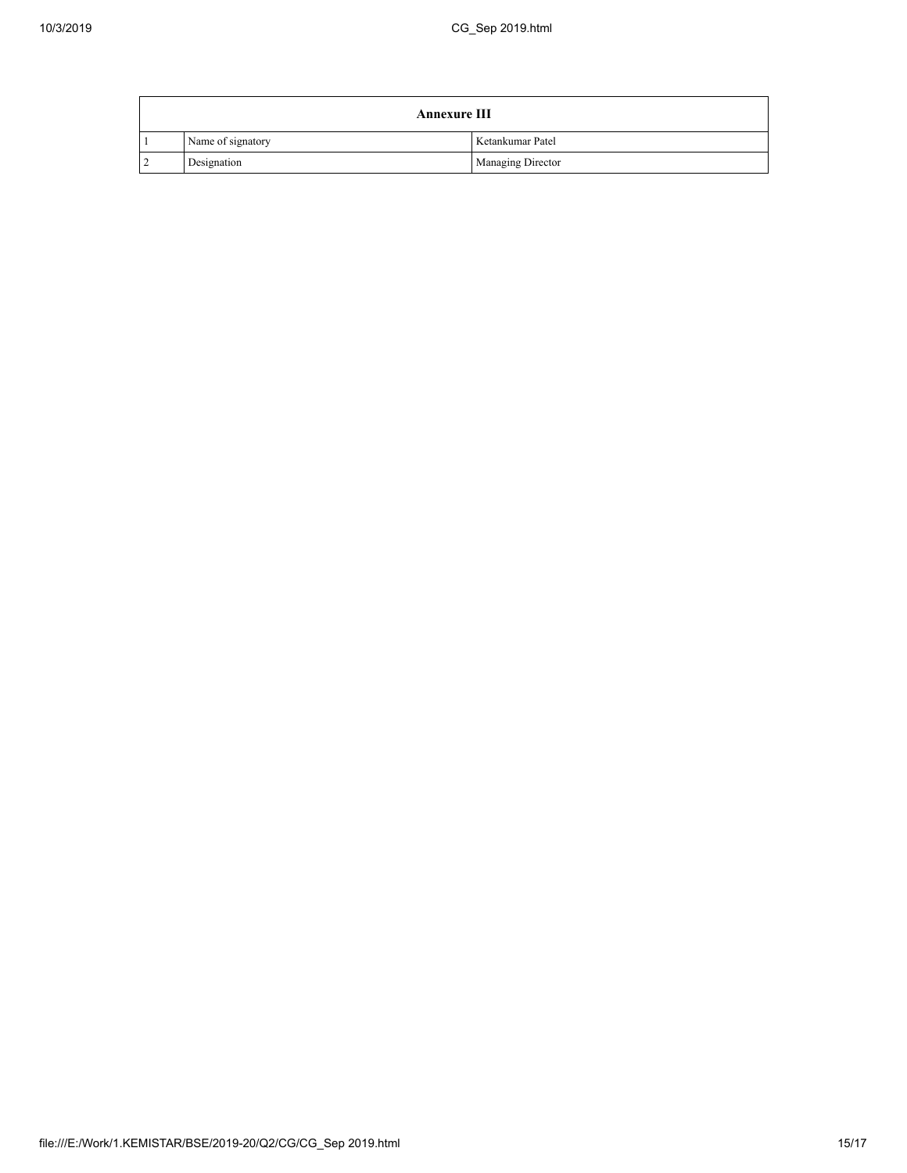| <b>Annexure III</b> |                   |                          |  |  |
|---------------------|-------------------|--------------------------|--|--|
|                     | Name of signatory | Ketankumar Patel         |  |  |
| l 2                 | Designation       | <b>Managing Director</b> |  |  |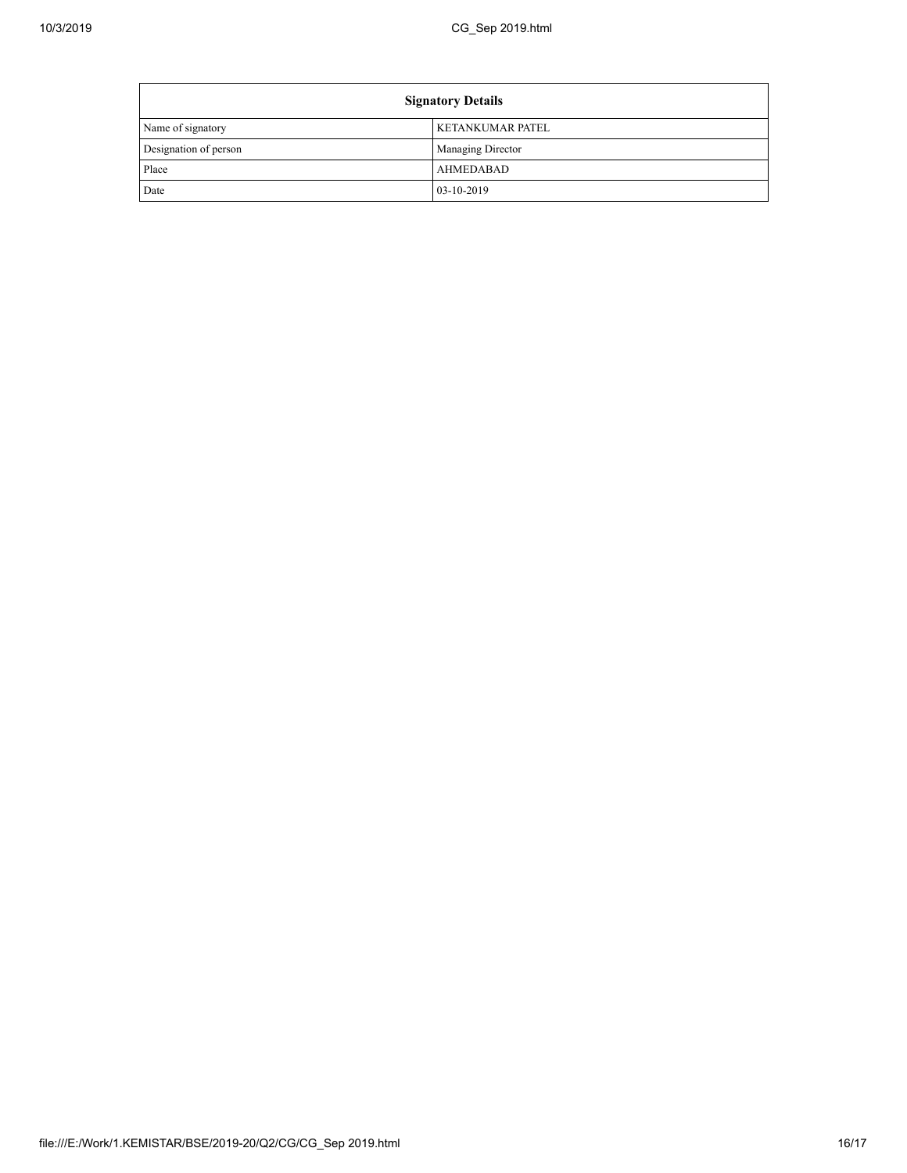Ē

| <b>Signatory Details</b> |                          |  |
|--------------------------|--------------------------|--|
| Name of signatory        | <b>KETANKUMAR PATEL</b>  |  |
| Designation of person    | <b>Managing Director</b> |  |
| Place                    | <b>AHMEDABAD</b>         |  |
| Date                     | 03-10-2019               |  |